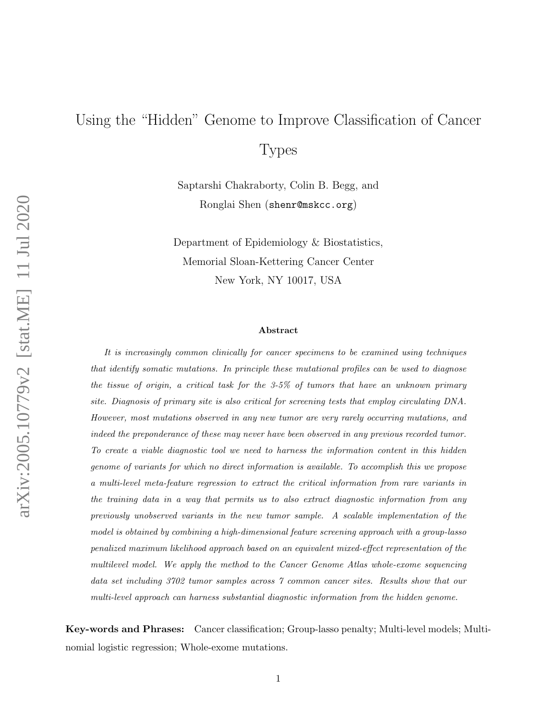# Using the "Hidden" Genome to Improve Classification of Cancer

Types

Saptarshi Chakraborty, Colin B. Begg, and Ronglai Shen (shenr@mskcc.org)

Department of Epidemiology & Biostatistics, Memorial Sloan-Kettering Cancer Center New York, NY 10017, USA

#### Abstract

It is increasingly common clinically for cancer specimens to be examined using techniques that identify somatic mutations. In principle these mutational profiles can be used to diagnose the tissue of origin, a critical task for the 3-5% of tumors that have an unknown primary site. Diagnosis of primary site is also critical for screening tests that employ circulating DNA. However, most mutations observed in any new tumor are very rarely occurring mutations, and indeed the preponderance of these may never have been observed in any previous recorded tumor. To create a viable diagnostic tool we need to harness the information content in this hidden genome of variants for which no direct information is available. To accomplish this we propose a multi-level meta-feature regression to extract the critical information from rare variants in the training data in a way that permits us to also extract diagnostic information from any previously unobserved variants in the new tumor sample. A scalable implementation of the model is obtained by combining a high-dimensional feature screening approach with a group-lasso penalized maximum likelihood approach based on an equivalent mixed-effect representation of the multilevel model. We apply the method to the Cancer Genome Atlas whole-exome sequencing data set including 3702 tumor samples across 7 common cancer sites. Results show that our multi-level approach can harness substantial diagnostic information from the hidden genome.

Key-words and Phrases: Cancer classification; Group-lasso penalty; Multi-level models; Multinomial logistic regression; Whole-exome mutations.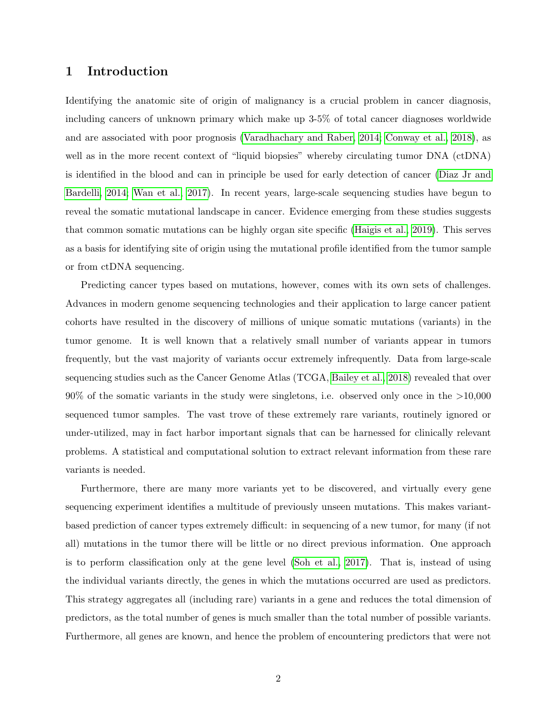# 1 Introduction

Identifying the anatomic site of origin of malignancy is a crucial problem in cancer diagnosis, including cancers of unknown primary which make up 3-5% of total cancer diagnoses worldwide and are associated with poor prognosis [\(Varadhachary and Raber, 2014;](#page-22-0) [Conway et al., 2018\)](#page-20-0), as well as in the more recent context of "liquid biopsies" whereby circulating tumor DNA (ctDNA) is identified in the blood and can in principle be used for early detection of cancer [\(Diaz Jr and](#page-21-0) [Bardelli, 2014;](#page-21-0) [Wan et al., 2017\)](#page-22-1). In recent years, large-scale sequencing studies have begun to reveal the somatic mutational landscape in cancer. Evidence emerging from these studies suggests that common somatic mutations can be highly organ site specific [\(Haigis et al., 2019\)](#page-21-1). This serves as a basis for identifying site of origin using the mutational profile identified from the tumor sample or from ctDNA sequencing.

Predicting cancer types based on mutations, however, comes with its own sets of challenges. Advances in modern genome sequencing technologies and their application to large cancer patient cohorts have resulted in the discovery of millions of unique somatic mutations (variants) in the tumor genome. It is well known that a relatively small number of variants appear in tumors frequently, but the vast majority of variants occur extremely infrequently. Data from large-scale sequencing studies such as the Cancer Genome Atlas (TCGA, [Bailey et al., 2018\)](#page-20-1) revealed that over 90% of the somatic variants in the study were singletons, i.e. observed only once in the >10,000 sequenced tumor samples. The vast trove of these extremely rare variants, routinely ignored or under-utilized, may in fact harbor important signals that can be harnessed for clinically relevant problems. A statistical and computational solution to extract relevant information from these rare variants is needed.

Furthermore, there are many more variants yet to be discovered, and virtually every gene sequencing experiment identifies a multitude of previously unseen mutations. This makes variantbased prediction of cancer types extremely difficult: in sequencing of a new tumor, for many (if not all) mutations in the tumor there will be little or no direct previous information. One approach is to perform classification only at the gene level [\(Soh et al., 2017\)](#page-22-2). That is, instead of using the individual variants directly, the genes in which the mutations occurred are used as predictors. This strategy aggregates all (including rare) variants in a gene and reduces the total dimension of predictors, as the total number of genes is much smaller than the total number of possible variants. Furthermore, all genes are known, and hence the problem of encountering predictors that were not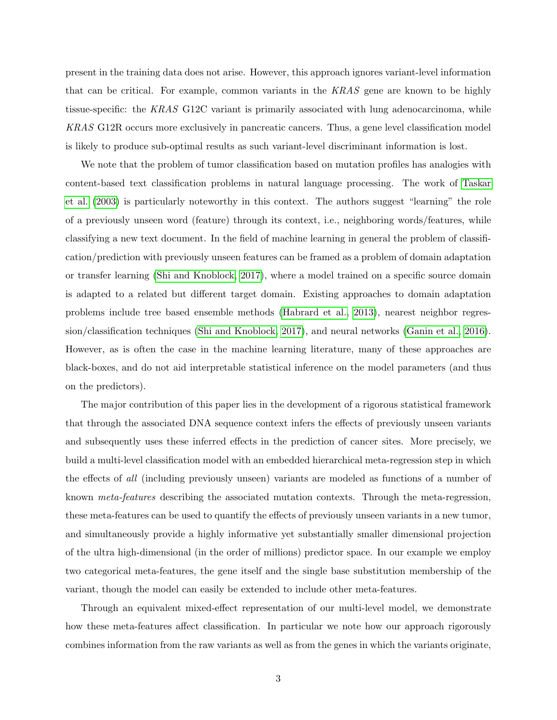present in the training data does not arise. However, this approach ignores variant-level information that can be critical. For example, common variants in the KRAS gene are known to be highly tissue-specific: the KRAS G12C variant is primarily associated with lung adenocarcinoma, while KRAS G12R occurs more exclusively in pancreatic cancers. Thus, a gene level classification model is likely to produce sub-optimal results as such variant-level discriminant information is lost.

We note that the problem of tumor classification based on mutation profiles has analogies with content-based text classification problems in natural language processing. The work of [Taskar](#page-22-3) [et al.](#page-22-3) [\(2003\)](#page-22-3) is particularly noteworthy in this context. The authors suggest "learning" the role of a previously unseen word (feature) through its context, i.e., neighboring words/features, while classifying a new text document. In the field of machine learning in general the problem of classification/prediction with previously unseen features can be framed as a problem of domain adaptation or transfer learning [\(Shi and Knoblock, 2017\)](#page-22-4), where a model trained on a specific source domain is adapted to a related but different target domain. Existing approaches to domain adaptation problems include tree based ensemble methods [\(Habrard et al., 2013\)](#page-21-2), nearest neighbor regression/classification techniques [\(Shi and Knoblock, 2017\)](#page-22-4), and neural networks [\(Ganin et al., 2016\)](#page-21-3). However, as is often the case in the machine learning literature, many of these approaches are black-boxes, and do not aid interpretable statistical inference on the model parameters (and thus on the predictors).

The major contribution of this paper lies in the development of a rigorous statistical framework that through the associated DNA sequence context infers the effects of previously unseen variants and subsequently uses these inferred effects in the prediction of cancer sites. More precisely, we build a multi-level classification model with an embedded hierarchical meta-regression step in which the effects of all (including previously unseen) variants are modeled as functions of a number of known meta-features describing the associated mutation contexts. Through the meta-regression, these meta-features can be used to quantify the effects of previously unseen variants in a new tumor, and simultaneously provide a highly informative yet substantially smaller dimensional projection of the ultra high-dimensional (in the order of millions) predictor space. In our example we employ two categorical meta-features, the gene itself and the single base substitution membership of the variant, though the model can easily be extended to include other meta-features.

Through an equivalent mixed-effect representation of our multi-level model, we demonstrate how these meta-features affect classification. In particular we note how our approach rigorously combines information from the raw variants as well as from the genes in which the variants originate,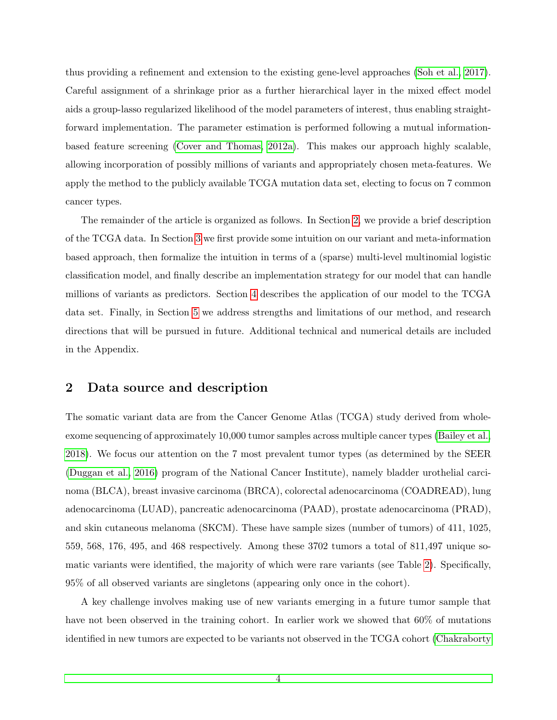thus providing a refinement and extension to the existing gene-level approaches [\(Soh et al., 2017\)](#page-22-2). Careful assignment of a shrinkage prior as a further hierarchical layer in the mixed effect model aids a group-lasso regularized likelihood of the model parameters of interest, thus enabling straightforward implementation. The parameter estimation is performed following a mutual informationbased feature screening [\(Cover and Thomas, 2012a\)](#page-20-2). This makes our approach highly scalable, allowing incorporation of possibly millions of variants and appropriately chosen meta-features. We apply the method to the publicly available TCGA mutation data set, electing to focus on 7 common cancer types.

The remainder of the article is organized as follows. In Section [2,](#page-3-0) we provide a brief description of the TCGA data. In Section [3](#page-4-0) we first provide some intuition on our variant and meta-information based approach, then formalize the intuition in terms of a (sparse) multi-level multinomial logistic classification model, and finally describe an implementation strategy for our model that can handle millions of variants as predictors. Section [4](#page-11-0) describes the application of our model to the TCGA data set. Finally, in Section [5](#page-18-0) we address strengths and limitations of our method, and research directions that will be pursued in future. Additional technical and numerical details are included in the Appendix.

#### <span id="page-3-0"></span>2 Data source and description

The somatic variant data are from the Cancer Genome Atlas (TCGA) study derived from wholeexome sequencing of approximately 10,000 tumor samples across multiple cancer types [\(Bailey et al.,](#page-20-1) [2018\)](#page-20-1). We focus our attention on the 7 most prevalent tumor types (as determined by the SEER [\(Duggan et al., 2016\)](#page-21-4) program of the National Cancer Institute), namely bladder urothelial carcinoma (BLCA), breast invasive carcinoma (BRCA), colorectal adenocarcinoma (COADREAD), lung adenocarcinoma (LUAD), pancreatic adenocarcinoma (PAAD), prostate adenocarcinoma (PRAD), and skin cutaneous melanoma (SKCM). These have sample sizes (number of tumors) of 411, 1025, 559, 568, 176, 495, and 468 respectively. Among these 3702 tumors a total of 811,497 unique somatic variants were identified, the majority of which were rare variants (see Table [2\)](#page-3-0). Specifically, 95% of all observed variants are singletons (appearing only once in the cohort).

A key challenge involves making use of new variants emerging in a future tumor sample that have not been observed in the training cohort. In earlier work we showed that  $60\%$  of mutations identified in new tumors are expected to be variants not observed in the TCGA cohort [\(Chakraborty](#page-20-3)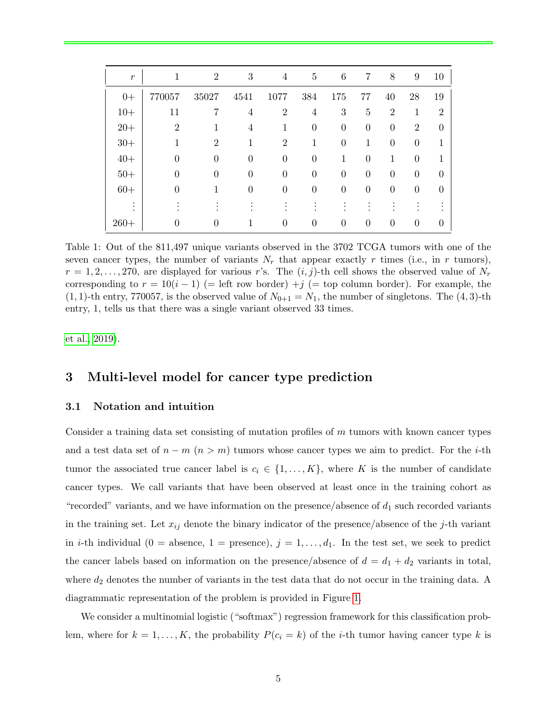| $\boldsymbol{r}$ | 1              | $\overline{2}$ | 3              | 4              | 5              | 6              | $\overline{7}$ | $8\,$            | 9              | 10             |
|------------------|----------------|----------------|----------------|----------------|----------------|----------------|----------------|------------------|----------------|----------------|
| $0+$             | 770057         | 35027          | 4541           | 1077           | 384            | 175            | 77             | 40               | 28             | 19             |
| $10+$            | 11             | 7              | 4              | $\overline{2}$ | 4              | 3              | $\overline{5}$ | $\overline{2}$   | 1              | $\overline{2}$ |
| $20+$            | $\overline{2}$ | 1              | 4              | 1              | $\overline{0}$ | $\overline{0}$ | $\theta$       | $\overline{0}$   | $\overline{2}$ | $\Omega$       |
| $30+$            |                | $\overline{2}$ |                | $\overline{2}$ | 1              | $\overline{0}$ | 1              | $\boldsymbol{0}$ | $\theta$       |                |
| $40+$            | $\Omega$       | $\theta$       | $\overline{0}$ | $\overline{0}$ | $\overline{0}$ | 1              | $\overline{0}$ | 1                | $\theta$       |                |
| $50+$            | $\Omega$       | $\theta$       | $\theta$       | $\overline{0}$ | $\overline{0}$ | $\overline{0}$ | $\theta$       | $\overline{0}$   | $\overline{0}$ | 0              |
| $60+$            | $\Omega$       | 1              | $\theta$       | 0              | $\Omega$       | $\overline{0}$ | $\theta$       | $\overline{0}$   | $\overline{0}$ | $\theta$       |
| ٠<br>$\bullet$   |                |                |                |                |                |                |                |                  |                |                |
| $260+$           | $\theta$       | $\Omega$       |                | $\Omega$       | $\Omega$       | $\overline{0}$ | $\Omega$       | $\overline{0}$   | $\theta$       | 0              |

Table 1: Out of the 811,497 unique variants observed in the 3702 TCGA tumors with one of the seven cancer types, the number of variants  $N_r$  that appear exactly r times (i.e., in r tumors),  $r = 1, 2, \ldots, 270$ , are displayed for various r's. The  $(i, j)$ -th cell shows the observed value of  $N_r$ corresponding to  $r = 10(i - 1)$  (= left row border) +j (= top column border). For example, the  $(1, 1)$ -th entry, 770057, is the observed value of  $N_{0+1} = N_1$ , the number of singletons. The  $(4, 3)$ -th entry, 1, tells us that there was a single variant observed 33 times.

[et al., 2019\)](#page-20-3).

## <span id="page-4-0"></span>3 Multi-level model for cancer type prediction

#### 3.1 Notation and intuition

Consider a training data set consisting of mutation profiles of  $m$  tumors with known cancer types and a test data set of  $n - m$  ( $n > m$ ) tumors whose cancer types we aim to predict. For the *i*-th tumor the associated true cancer label is  $c_i \in \{1, ..., K\}$ , where K is the number of candidate cancer types. We call variants that have been observed at least once in the training cohort as "recorded" variants, and we have information on the presence/absence of  $d_1$  such recorded variants in the training set. Let  $x_{ij}$  denote the binary indicator of the presence/absence of the j-th variant in *i*-th individual (0 = absence, 1 = presence),  $j = 1, \ldots, d_1$ . In the test set, we seek to predict the cancer labels based on information on the presence/absence of  $d = d_1 + d_2$  variants in total, where  $d_2$  denotes the number of variants in the test data that do not occur in the training data. A diagrammatic representation of the problem is provided in Figure [1.](#page-5-0)

We consider a multinomial logistic ("softmax") regression framework for this classification problem, where for  $k = 1, ..., K$ , the probability  $P(c_i = k)$  of the *i*-th tumor having cancer type k is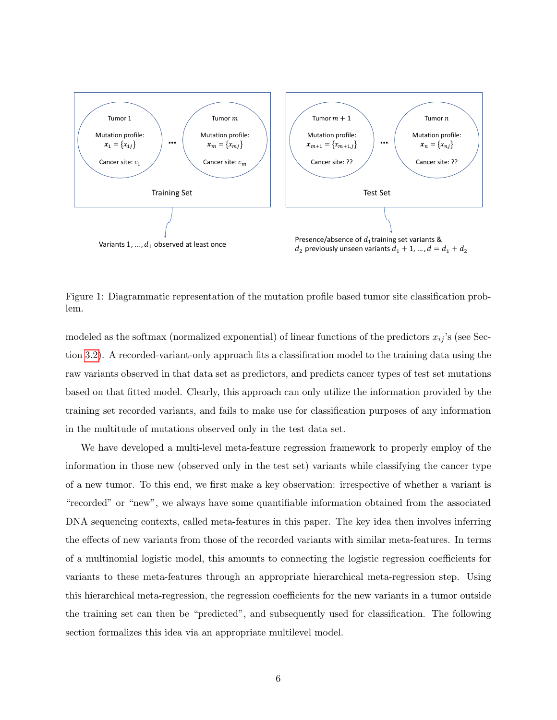

<span id="page-5-0"></span>Figure 1: Diagrammatic representation of the mutation profile based tumor site classification problem.

modeled as the softmax (normalized exponential) of linear functions of the predictors  $x_{ij}$ 's (see Section [3.2\)](#page-6-0). A recorded-variant-only approach fits a classification model to the training data using the raw variants observed in that data set as predictors, and predicts cancer types of test set mutations based on that fitted model. Clearly, this approach can only utilize the information provided by the training set recorded variants, and fails to make use for classification purposes of any information in the multitude of mutations observed only in the test data set.

We have developed a multi-level meta-feature regression framework to properly employ of the information in those new (observed only in the test set) variants while classifying the cancer type of a new tumor. To this end, we first make a key observation: irrespective of whether a variant is "recorded" or "new", we always have some quantifiable information obtained from the associated DNA sequencing contexts, called meta-features in this paper. The key idea then involves inferring the effects of new variants from those of the recorded variants with similar meta-features. In terms of a multinomial logistic model, this amounts to connecting the logistic regression coefficients for variants to these meta-features through an appropriate hierarchical meta-regression step. Using this hierarchical meta-regression, the regression coefficients for the new variants in a tumor outside the training set can then be "predicted", and subsequently used for classification. The following section formalizes this idea via an appropriate multilevel model.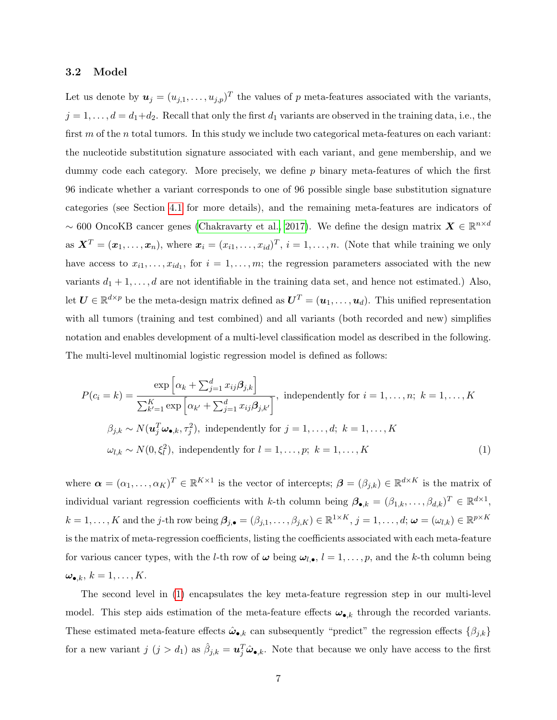#### <span id="page-6-0"></span>3.2 Model

Let us denote by  $u_j = (u_{j,1}, \ldots, u_{j,p})^T$  the values of p meta-features associated with the variants,  $j = 1, \ldots, d = d_1 + d_2$ . Recall that only the first  $d_1$  variants are observed in the training data, i.e., the first  $m$  of the n total tumors. In this study we include two categorical meta-features on each variant: the nucleotide substitution signature associated with each variant, and gene membership, and we dummy code each category. More precisely, we define  $p$  binary meta-features of which the first 96 indicate whether a variant corresponds to one of 96 possible single base substitution signature categories (see Section [4.1](#page-11-1) for more details), and the remaining meta-features are indicators of ~ 600 OncoKB cancer genes [\(Chakravarty et al., 2017\)](#page-20-4). We define the design matrix  $\mathbf{X} \in \mathbb{R}^{n \times d}$ as  $\mathbf{X}^T = (\mathbf{x}_1, \dots, \mathbf{x}_n)$ , where  $\mathbf{x}_i = (x_{i1}, \dots, x_{id})^T$ ,  $i = 1, \dots, n$ . (Note that while training we only have access to  $x_{i1}, \ldots, x_{id_1}$ , for  $i = 1, \ldots, m$ ; the regression parameters associated with the new variants  $d_1 + 1, \ldots, d$  are not identifiable in the training data set, and hence not estimated.) Also, let  $\bm{U} \in \mathbb{R}^{d \times p}$  be the meta-design matrix defined as  $\bm{U}^T = (\bm{u}_1, \dots, \bm{u}_d)$ . This unified representation with all tumors (training and test combined) and all variants (both recorded and new) simplifies notation and enables development of a multi-level classification model as described in the following. The multi-level multinomial logistic regression model is defined as follows:

<span id="page-6-1"></span>
$$
P(c_i = k) = \frac{\exp\left[\alpha_k + \sum_{j=1}^d x_{ij}\beta_{j,k}\right]}{\sum_{k'=1}^K \exp\left[\alpha_{k'} + \sum_{j=1}^d x_{ij}\beta_{j,k'}\right]}, \text{ independently for } i = 1, \dots, n; k = 1, \dots, K
$$
  

$$
\beta_{j,k} \sim N(\mathbf{u}_j^T \boldsymbol{\omega}_{\bullet,k}, \tau_j^2), \text{ independently for } j = 1, \dots, d; k = 1, \dots, K
$$
  

$$
\omega_{l,k} \sim N(0, \xi_l^2), \text{ independently for } l = 1, \dots, p; k = 1, \dots, K
$$
 (1)

where  $\boldsymbol{\alpha} = (\alpha_1, \dots, \alpha_K)^T \in \mathbb{R}^{K \times 1}$  is the vector of intercepts;  $\boldsymbol{\beta} = (\beta_{j,k}) \in \mathbb{R}^{d \times K}$  is the matrix of individual variant regression coefficients with k-th column being  $\boldsymbol{\beta}_{\bullet,k} = (\beta_{1,k}, \ldots, \beta_{d,k})^T \in \mathbb{R}^{d \times 1}$ ,  $k = 1, \ldots, K$  and the j-th row being  $\beta_{j,\bullet} = (\beta_{j,1}, \ldots, \beta_{j,K}) \in \mathbb{R}^{1 \times K}, j = 1, \ldots, d; \boldsymbol{\omega} = (\omega_{l,k}) \in \mathbb{R}^{p \times K}$ is the matrix of meta-regression coefficients, listing the coefficients associated with each meta-feature for various cancer types, with the *l*-th row of  $\omega$  being  $\omega_{l,\bullet}$ ,  $l = 1, \ldots, p$ , and the *k*-th column being  $\omega_{\bullet,k}, k = 1, \ldots, K.$ 

The second level in [\(1\)](#page-6-1) encapsulates the key meta-feature regression step in our multi-level model. This step aids estimation of the meta-feature effects  $\omega_{\bullet,k}$  through the recorded variants. These estimated meta-feature effects  $\hat{\omega}_{\bullet,k}$  can subsequently "predict" the regression effects  $\{\beta_{j,k}\}$ for a new variant  $j$   $(j > d_1)$  as  $\hat{\beta}_{j,k} = \mathbf{u}_j^T \hat{\boldsymbol{\omega}}_{\bullet,k}$ . Note that because we only have access to the first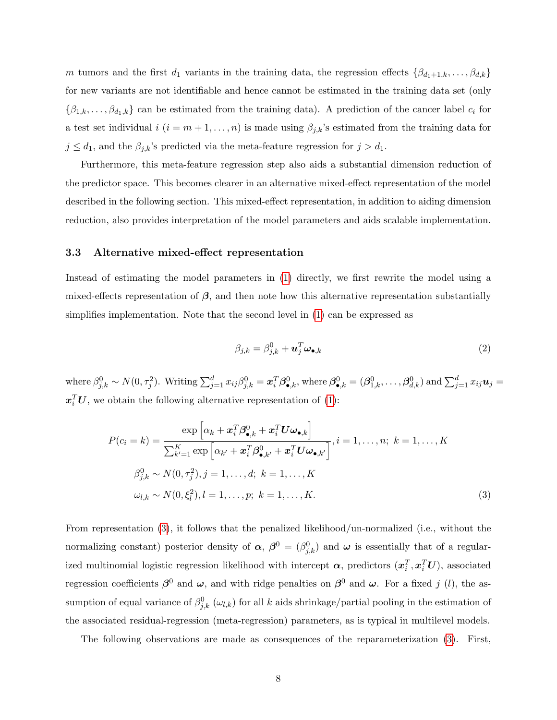m tumors and the first  $d_1$  variants in the training data, the regression effects  $\{\beta_{d_1+1,k}, \ldots, \beta_{d,k}\}$ for new variants are not identifiable and hence cannot be estimated in the training data set (only  $\{\beta_{1,k},\ldots,\beta_{d_1,k}\}\)$  can be estimated from the training data). A prediction of the cancer label  $c_i$  for a test set individual  $i$   $(i = m + 1, \ldots, n)$  is made using  $\beta_{j,k}$ 's estimated from the training data for  $j \leq d_1$ , and the  $\beta_{j,k}$ 's predicted via the meta-feature regression for  $j > d_1$ .

Furthermore, this meta-feature regression step also aids a substantial dimension reduction of the predictor space. This becomes clearer in an alternative mixed-effect representation of the model described in the following section. This mixed-effect representation, in addition to aiding dimension reduction, also provides interpretation of the model parameters and aids scalable implementation.

#### <span id="page-7-2"></span>3.3 Alternative mixed-effect representation

Instead of estimating the model parameters in [\(1\)](#page-6-1) directly, we first rewrite the model using a mixed-effects representation of  $\beta$ , and then note how this alternative representation substantially simplifies implementation. Note that the second level in [\(1\)](#page-6-1) can be expressed as

<span id="page-7-1"></span><span id="page-7-0"></span>
$$
\beta_{j,k} = \beta_{j,k}^0 + \mathbf{u}_j^T \boldsymbol{\omega}_{\bullet,k} \tag{2}
$$

where  $\beta_{j,k}^0 \sim N(0, \tau_j^2)$ . Writing  $\sum_{j=1}^d x_{ij} \beta_{j,k}^0 = \boldsymbol{x}_i^T \boldsymbol{\beta}_{\bullet,k}^0$ , where  $\boldsymbol{\beta}_{\bullet,k}^0 = (\boldsymbol{\beta}_{1,k}^0, \dots, \boldsymbol{\beta}_{d,k}^0)$  and  $\sum_{j=1}^d x_{ij} \boldsymbol{u}_j =$  $\boldsymbol{x}_i^T\boldsymbol{U}$ , we obtain the following alternative representation of [\(1\)](#page-6-1):

$$
P(c_i = k) = \frac{\exp\left[\alpha_k + \mathbf{x}_i^T \boldsymbol{\beta}_{\bullet,k}^0 + \mathbf{x}_i^T \mathbf{U} \boldsymbol{\omega}_{\bullet,k}\right]}{\sum_{k'=1}^K \exp\left[\alpha_{k'} + \mathbf{x}_i^T \boldsymbol{\beta}_{\bullet,k'}^0 + \mathbf{x}_i^T \mathbf{U} \boldsymbol{\omega}_{\bullet,k'}\right]}, i = 1, \dots, n; k = 1, \dots, K
$$
  

$$
\beta_{j,k}^0 \sim N(0, \tau_j^2), j = 1, \dots, d; k = 1, \dots, K
$$
  

$$
\omega_{l,k} \sim N(0, \xi_l^2), l = 1, \dots, p; k = 1, \dots, K.
$$
 (3)

From representation [\(3\)](#page-7-0), it follows that the penalized likelihood/un-normalized (i.e., without the normalizing constant) posterior density of  $\alpha$ ,  $\beta^0 = (\beta_{j,k}^0)$  and  $\omega$  is essentially that of a regularized multinomial logistic regression likelihood with intercept  $\alpha$ , predictors  $(x_i^T, x_i^TU)$ , associated regression coefficients  $\beta^0$  and  $\omega$ , and with ridge penalties on  $\beta^0$  and  $\omega$ . For a fixed j (l), the assumption of equal variance of  $\beta_{j,k}^0(\omega_{l,k})$  for all k aids shrinkage/partial pooling in the estimation of the associated residual-regression (meta-regression) parameters, as is typical in multilevel models.

The following observations are made as consequences of the reparameterization [\(3\)](#page-7-0). First,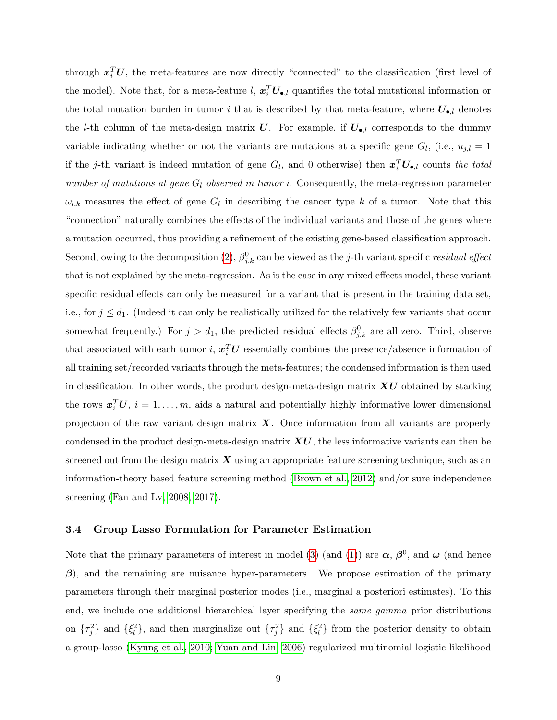through  $x_i^T U$ , the meta-features are now directly "connected" to the classification (first level of the model). Note that, for a meta-feature l,  $x_i^T U_{\bullet,l}$  quantifies the total mutational information or the total mutation burden in tumor i that is described by that meta-feature, where  $U_{\bullet, l}$  denotes the l-th column of the meta-design matrix U. For example, if  $U_{\bullet,l}$  corresponds to the dummy variable indicating whether or not the variants are mutations at a specific gene  $G_l$ , (i.e.,  $u_{j,l} = 1$ if the j-th variant is indeed mutation of gene  $G_l$ , and 0 otherwise) then  $\mathbf{x}_i^T \mathbf{U}_{\bullet,l}$  counts the total number of mutations at gene  $G_l$  observed in tumor i. Consequently, the meta-regression parameter  $\omega_{l,k}$  measures the effect of gene  $G_l$  in describing the cancer type k of a tumor. Note that this "connection" naturally combines the effects of the individual variants and those of the genes where a mutation occurred, thus providing a refinement of the existing gene-based classification approach. Second, owing to the decomposition [\(2\)](#page-7-1),  $\beta_{j,k}^0$  can be viewed as the j-th variant specific residual effect that is not explained by the meta-regression. As is the case in any mixed effects model, these variant specific residual effects can only be measured for a variant that is present in the training data set, i.e., for  $j \leq d_1$ . (Indeed it can only be realistically utilized for the relatively few variants that occur somewhat frequently.) For  $j > d_1$ , the predicted residual effects  $\beta_{j,k}^0$  are all zero. Third, observe that associated with each tumor *i*,  $x_i^T U$  essentially combines the presence/absence information of all training set/recorded variants through the meta-features; the condensed information is then used in classification. In other words, the product design-meta-design matrix  $\boldsymbol{X}\boldsymbol{U}$  obtained by stacking the rows  $\boldsymbol{x}_i^T \boldsymbol{U}, i = 1, \ldots, m$ , aids a natural and potentially highly informative lower dimensional projection of the raw variant design matrix  $\boldsymbol{X}$ . Once information from all variants are properly condensed in the product design-meta-design matrix  $\boldsymbol{X}\boldsymbol{U}$ , the less informative variants can then be screened out from the design matrix  $\boldsymbol{X}$  using an appropriate feature screening technique, such as an information-theory based feature screening method [\(Brown et al., 2012\)](#page-20-5) and/or sure independence screening [\(Fan and Lv, 2008,](#page-21-5) [2017\)](#page-21-6).

#### 3.4 Group Lasso Formulation for Parameter Estimation

Note that the primary parameters of interest in model [\(3\)](#page-7-0) (and [\(1\)](#page-6-1)) are  $\alpha$ ,  $\beta^0$ , and  $\omega$  (and hence  $\beta$ ), and the remaining are nuisance hyper-parameters. We propose estimation of the primary parameters through their marginal posterior modes (i.e., marginal a posteriori estimates). To this end, we include one additional hierarchical layer specifying the *same gamma* prior distributions on  $\{\tau_j^2\}$  and  $\{\xi_l^2\}$ , and then marginalize out  $\{\tau_j^2\}$  and  $\{\xi_l^2\}$  from the posterior density to obtain a group-lasso [\(Kyung et al., 2010;](#page-21-7) [Yuan and Lin, 2006\)](#page-22-5) regularized multinomial logistic likelihood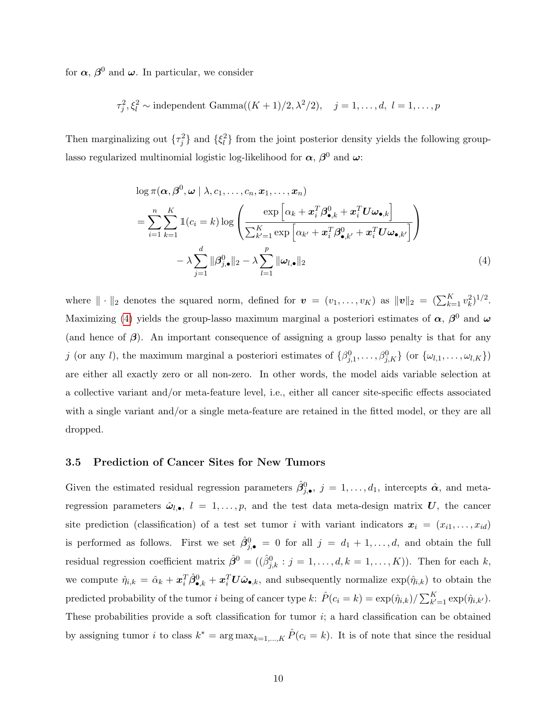for  $\alpha$ ,  $\beta^0$  and  $\omega$ . In particular, we consider

$$
\tau_j^2, \xi_l^2 \sim \text{independent Gamma}((K+1)/2, \lambda^2/2), \quad j = 1, \dots, d, \ l = 1, \dots, p
$$

Then marginalizing out  $\{\tau_j^2\}$  and  $\{\xi_l^2\}$  from the joint posterior density yields the following grouplasso regularized multinomial logistic log-likelihood for  $\alpha$ ,  $\beta^0$  and  $\omega$ :

<span id="page-9-0"></span>
$$
\log \pi(\boldsymbol{\alpha}, \boldsymbol{\beta}^{0}, \boldsymbol{\omega} \mid \lambda, c_{1}, \dots, c_{n}, \boldsymbol{x}_{1}, \dots, \boldsymbol{x}_{n})
$$
\n
$$
= \sum_{i=1}^{n} \sum_{k=1}^{K} \mathbb{1}(c_{i} = k) \log \left( \frac{\exp \left[ \alpha_{k} + \boldsymbol{x}_{i}^{T} \boldsymbol{\beta}_{\bullet,k}^{0} + \boldsymbol{x}_{i}^{T} \boldsymbol{U} \boldsymbol{\omega}_{\bullet,k} \right]}{\sum_{k'=1}^{K} \exp \left[ \alpha_{k'} + \boldsymbol{x}_{i}^{T} \boldsymbol{\beta}_{\bullet,k'}^{0} + \boldsymbol{x}_{i}^{T} \boldsymbol{U} \boldsymbol{\omega}_{\bullet,k'} \right]} \right)
$$
\n
$$
- \lambda \sum_{j=1}^{d} ||\boldsymbol{\beta}_{j,\bullet}^{0}||_{2} - \lambda \sum_{l=1}^{p} ||\boldsymbol{\omega}_{l,\bullet}||_{2} \tag{4}
$$

where  $\|\cdot\|_2$  denotes the squared norm, defined for  $\mathbf{v} = (v_1, \ldots, v_K)$  as  $\|\mathbf{v}\|_2 = (\sum_{k=1}^K v_k^2)^{1/2}$ . Maximizing [\(4\)](#page-9-0) yields the group-lasso maximum marginal a posteriori estimates of  $\alpha$ ,  $\beta^0$  and  $\omega$ (and hence of  $\beta$ ). An important consequence of assigning a group lasso penalty is that for any j (or any l), the maximum marginal a posteriori estimates of  $\{\beta_{j,1}^0, \ldots, \beta_{j,K}^0\}$  (or  $\{\omega_{l,1}, \ldots, \omega_{l,K}\}\$ ) are either all exactly zero or all non-zero. In other words, the model aids variable selection at a collective variant and/or meta-feature level, i.e., either all cancer site-specific effects associated with a single variant and/or a single meta-feature are retained in the fitted model, or they are all dropped.

#### 3.5 Prediction of Cancer Sites for New Tumors

Given the estimated residual regression parameters  $\hat{\beta}_{j,\bullet}^0$ ,  $j=1,\ldots,d_1$ , intercepts  $\hat{\boldsymbol{\alpha}}$ , and metaregression parameters  $\hat{\omega}_{l,\bullet}, l = 1,\ldots,p$ , and the test data meta-design matrix U, the cancer site prediction (classification) of a test set tumor i with variant indicators  $x_i = (x_{i1}, \ldots, x_{id})$ is performed as follows. First we set  $\hat{\beta}_{j,\bullet}^0 = 0$  for all  $j = d_1 + 1, \ldots, d$ , and obtain the full residual regression coefficient matrix  $\hat{\beta}^0 = ((\hat{\beta}_{j,k}^0 : j = 1, \ldots, d, k = 1, \ldots, K))$ . Then for each k, we compute  $\hat{\eta}_{i,k} = \hat{\alpha}_k + \boldsymbol{x}_i^T \hat{\beta}_{\bullet,k}^0 + \boldsymbol{x}_i^T \boldsymbol{U} \hat{\boldsymbol{\omega}}_{\bullet,k}$ , and subsequently normalize  $\exp(\hat{\eta}_{i,k})$  to obtain the predicted probability of the tumor *i* being of cancer type  $k$ :  $\hat{P}(c_i = k) = \exp(\hat{\eta}_{i,k}) / \sum_{k'=1}^{K} \exp(\hat{\eta}_{i,k'})$ . These probabilities provide a soft classification for tumor  $i$ ; a hard classification can be obtained by assigning tumor i to class  $k^* = \arg \max_{k=1,\dots,K} \hat{P}(c_i = k)$ . It is of note that since the residual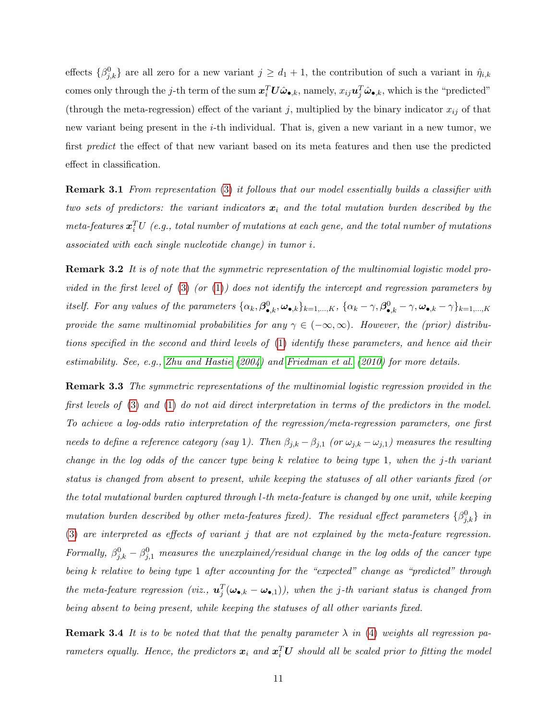effects  $\{\beta^0_{j,k}\}\$ are all zero for a new variant  $j \geq d_1 + 1$ , the contribution of such a variant in  $\hat{\eta}_{i,k}$ comes only through the j-th term of the sum  $x_i^T U \hat{\omega}_{\bullet,k}$ , namely,  $x_{ij} u_j^T \hat{\omega}_{\bullet,k}$ , which is the "predicted" (through the meta-regression) effect of the variant j, multiplied by the binary indicator  $x_{ij}$  of that new variant being present in the *i*-th individual. That is, given a new variant in a new tumor, we first predict the effect of that new variant based on its meta features and then use the predicted effect in classification.

Remark 3.1 From representation [\(3\)](#page-7-0) it follows that our model essentially builds a classifier with two sets of predictors: the variant indicators  $x_i$  and the total mutation burden described by the meta-features  $\boldsymbol{x}_i^T U$  (e.g., total number of mutations at each gene, and the total number of mutations associated with each single nucleotide change) in tumor i.

**Remark 3.2** It is of note that the symmetric representation of the multinomial logistic model provided in the first level of  $(3)$  (or  $(1)$ ) does not identify the intercept and regression parameters by itself. For any values of the parameters  $\{\alpha_k, \beta_{\bullet,k}^0, \omega_{\bullet,k}\}_{k=1,\dots,K}$ ,  $\{\alpha_k - \gamma, \beta_{\bullet,k}^0 - \gamma, \omega_{\bullet,k} - \gamma\}_{k=1,\dots,K}$ provide the same multinomial probabilities for any  $\gamma \in (-\infty, \infty)$ . However, the (prior) distributions specified in the second and third levels of [\(1\)](#page-6-1) identify these parameters, and hence aid their estimability. See, e.g., [Zhu and Hastie](#page-23-0) [\(2004\)](#page-23-0) and [Friedman et al.](#page-21-8) [\(2010\)](#page-21-8) for more details.

<span id="page-10-0"></span>**Remark 3.3** The symmetric representations of the multinomial logistic regression provided in the first levels of [\(3\)](#page-7-0) and [\(1\)](#page-6-1) do not aid direct interpretation in terms of the predictors in the model. To achieve a log-odds ratio interpretation of the regression/meta-regression parameters, one first needs to define a reference category (say 1). Then  $\beta_{j,k} - \beta_{j,1}$  (or  $\omega_{j,k} - \omega_{j,1}$ ) measures the resulting change in the log odds of the cancer type being k relative to being type 1, when the j-th variant status is changed from absent to present, while keeping the statuses of all other variants fixed (or the total mutational burden captured through l-th meta-feature is changed by one unit, while keeping mutation burden described by other meta-features fixed). The residual effect parameters  $\{\beta_{j,k}^0\}$  in [\(3\)](#page-7-0) are interpreted as effects of variant j that are not explained by the meta-feature regression. Formally,  $\beta_{j,k}^0 - \beta_{j,1}^0$  measures the unexplained/residual change in the log odds of the cancer type being k relative to being type 1 after accounting for the "expected" change as "predicted" through the meta-feature regression (viz.,  $\mathbf{u}_j^T(\mathbf{\omega}_{\bullet,k} - \mathbf{\omega}_{\bullet,1})$ ), when the j-th variant status is changed from being absent to being present, while keeping the statuses of all other variants fixed.

**Remark 3.4** It is to be noted that that the penalty parameter  $\lambda$  in [\(4\)](#page-9-0) weights all regression parameters equally. Hence, the predictors  $x_i$  and  $x_i^T U$  should all be scaled prior to fitting the model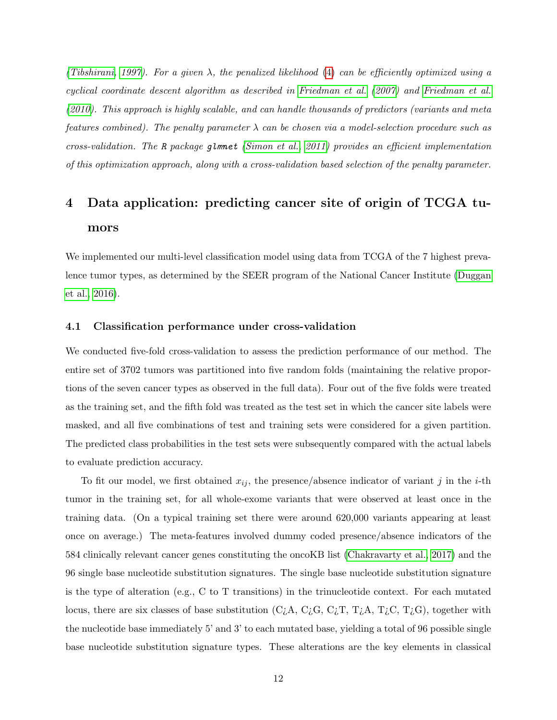[\(Tibshirani, 1997\)](#page-22-6). For a given  $\lambda$ , the penalized likelihood [\(4\)](#page-9-0) can be efficiently optimized using a cyclical coordinate descent algorithm as described in [Friedman et al.](#page-21-9) [\(2007\)](#page-21-9) and [Friedman et al.](#page-21-8) [\(2010\)](#page-21-8). This approach is highly scalable, and can handle thousands of predictors (variants and meta features combined). The penalty parameter  $\lambda$  can be chosen via a model-selection procedure such as cross-validation. The R package glmnet [\(Simon et al., 2011\)](#page-22-7) provides an efficient implementation of this optimization approach, along with a cross-validation based selection of the penalty parameter.

# <span id="page-11-0"></span>4 Data application: predicting cancer site of origin of TCGA tumors

We implemented our multi-level classification model using data from TCGA of the 7 highest prevalence tumor types, as determined by the SEER program of the National Cancer Institute [\(Duggan](#page-21-4) [et al., 2016\)](#page-21-4).

#### <span id="page-11-1"></span>4.1 Classification performance under cross-validation

We conducted five-fold cross-validation to assess the prediction performance of our method. The entire set of 3702 tumors was partitioned into five random folds (maintaining the relative proportions of the seven cancer types as observed in the full data). Four out of the five folds were treated as the training set, and the fifth fold was treated as the test set in which the cancer site labels were masked, and all five combinations of test and training sets were considered for a given partition. The predicted class probabilities in the test sets were subsequently compared with the actual labels to evaluate prediction accuracy.

To fit our model, we first obtained  $x_{ij}$ , the presence/absence indicator of variant j in the *i*-th tumor in the training set, for all whole-exome variants that were observed at least once in the training data. (On a typical training set there were around 620,000 variants appearing at least once on average.) The meta-features involved dummy coded presence/absence indicators of the 584 clinically relevant cancer genes constituting the oncoKB list [\(Chakravarty et al., 2017\)](#page-20-4) and the 96 single base nucleotide substitution signatures. The single base nucleotide substitution signature is the type of alteration (e.g., C to T transitions) in the trinucleotide context. For each mutated locus, there are six classes of base substitution (C<sub>i</sub>A, C<sub>i</sub>G, C<sub>i</sub>T, T<sub>i</sub>A, T<sub>i</sub>C, T<sub>i</sub>G), together with the nucleotide base immediately 5' and 3' to each mutated base, yielding a total of 96 possible single base nucleotide substitution signature types. These alterations are the key elements in classical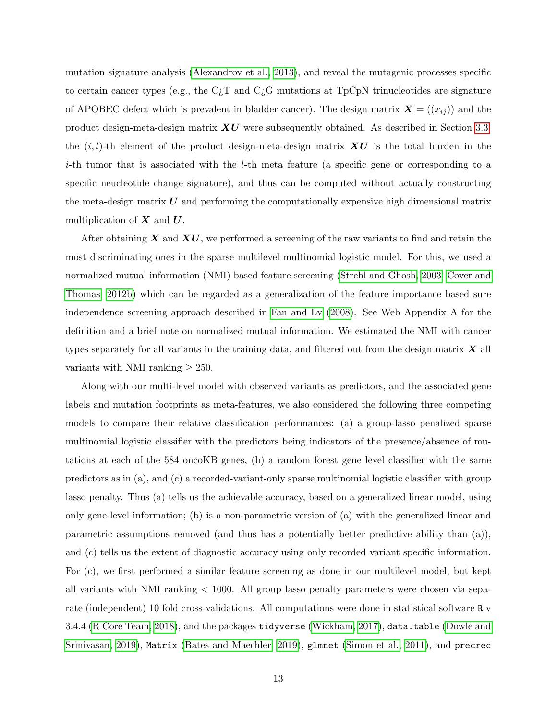mutation signature analysis [\(Alexandrov et al., 2013\)](#page-20-6), and reveal the mutagenic processes specific to certain cancer types (e.g., the  $C_{\mathcal{L}}T$  and  $C_{\mathcal{L}}G$  mutations at TpCpN trinucleotides are signature of APOBEC defect which is prevalent in bladder cancer). The design matrix  $\mathbf{X} = ((x_{ij}))$  and the product design-meta-design matrix  $\boldsymbol{X} \boldsymbol{U}$  were subsequently obtained. As described in Section [3.3,](#page-7-2) the  $(i, l)$ -th element of the product design-meta-design matrix  $\boldsymbol{X} \boldsymbol{U}$  is the total burden in the  $i$ -th tumor that is associated with the *l*-th meta feature (a specific gene or corresponding to a specific neucleotide change signature), and thus can be computed without actually constructing the meta-design matrix  $\boldsymbol{U}$  and performing the computationally expensive high dimensional matrix multiplication of  $X$  and  $U$ .

After obtaining  $X$  and  $XU$ , we performed a screening of the raw variants to find and retain the most discriminating ones in the sparse multilevel multinomial logistic model. For this, we used a normalized mutual information (NMI) based feature screening [\(Strehl and Ghosh, 2003;](#page-22-8) [Cover and](#page-21-10) [Thomas, 2012b\)](#page-21-10) which can be regarded as a generalization of the feature importance based sure independence screening approach described in [Fan and Lv](#page-21-5) [\(2008\)](#page-21-5). See Web Appendix A for the definition and a brief note on normalized mutual information. We estimated the NMI with cancer types separately for all variants in the training data, and filtered out from the design matrix  $\boldsymbol{X}$  all variants with NMI ranking  $\geq 250$ .

Along with our multi-level model with observed variants as predictors, and the associated gene labels and mutation footprints as meta-features, we also considered the following three competing models to compare their relative classification performances: (a) a group-lasso penalized sparse multinomial logistic classifier with the predictors being indicators of the presence/absence of mutations at each of the 584 oncoKB genes, (b) a random forest gene level classifier with the same predictors as in (a), and (c) a recorded-variant-only sparse multinomial logistic classifier with group lasso penalty. Thus (a) tells us the achievable accuracy, based on a generalized linear model, using only gene-level information; (b) is a non-parametric version of (a) with the generalized linear and parametric assumptions removed (and thus has a potentially better predictive ability than (a)), and (c) tells us the extent of diagnostic accuracy using only recorded variant specific information. For (c), we first performed a similar feature screening as done in our multilevel model, but kept all variants with NMI ranking < 1000. All group lasso penalty parameters were chosen via separate (independent) 10 fold cross-validations. All computations were done in statistical software R v 3.4.4 [\(R Core Team, 2018\)](#page-22-9), and the packages tidyverse [\(Wickham, 2017\)](#page-22-10), data.table [\(Dowle and](#page-21-11) [Srinivasan, 2019\)](#page-21-11), Matrix [\(Bates and Maechler, 2019\)](#page-20-7), glmnet [\(Simon et al., 2011\)](#page-22-7), and precrec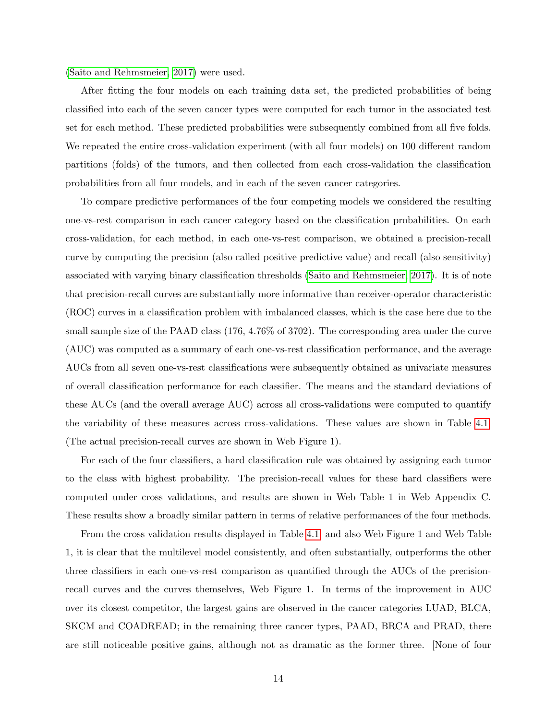[\(Saito and Rehmsmeier, 2017\)](#page-22-11) were used.

After fitting the four models on each training data set, the predicted probabilities of being classified into each of the seven cancer types were computed for each tumor in the associated test set for each method. These predicted probabilities were subsequently combined from all five folds. We repeated the entire cross-validation experiment (with all four models) on 100 different random partitions (folds) of the tumors, and then collected from each cross-validation the classification probabilities from all four models, and in each of the seven cancer categories.

To compare predictive performances of the four competing models we considered the resulting one-vs-rest comparison in each cancer category based on the classification probabilities. On each cross-validation, for each method, in each one-vs-rest comparison, we obtained a precision-recall curve by computing the precision (also called positive predictive value) and recall (also sensitivity) associated with varying binary classification thresholds [\(Saito and Rehmsmeier, 2017\)](#page-22-11). It is of note that precision-recall curves are substantially more informative than receiver-operator characteristic (ROC) curves in a classification problem with imbalanced classes, which is the case here due to the small sample size of the PAAD class (176, 4.76% of 3702). The corresponding area under the curve (AUC) was computed as a summary of each one-vs-rest classification performance, and the average AUCs from all seven one-vs-rest classifications were subsequently obtained as univariate measures of overall classification performance for each classifier. The means and the standard deviations of these AUCs (and the overall average AUC) across all cross-validations were computed to quantify the variability of these measures across cross-validations. These values are shown in Table [4.1.](#page-11-1) (The actual precision-recall curves are shown in Web Figure 1).

For each of the four classifiers, a hard classification rule was obtained by assigning each tumor to the class with highest probability. The precision-recall values for these hard classifiers were computed under cross validations, and results are shown in Web Table 1 in Web Appendix C. These results show a broadly similar pattern in terms of relative performances of the four methods.

From the cross validation results displayed in Table [4.1,](#page-11-1) and also Web Figure 1 and Web Table 1, it is clear that the multilevel model consistently, and often substantially, outperforms the other three classifiers in each one-vs-rest comparison as quantified through the AUCs of the precisionrecall curves and the curves themselves, Web Figure 1. In terms of the improvement in AUC over its closest competitor, the largest gains are observed in the cancer categories LUAD, BLCA, SKCM and COADREAD; in the remaining three cancer types, PAAD, BRCA and PRAD, there are still noticeable positive gains, although not as dramatic as the former three. [None of four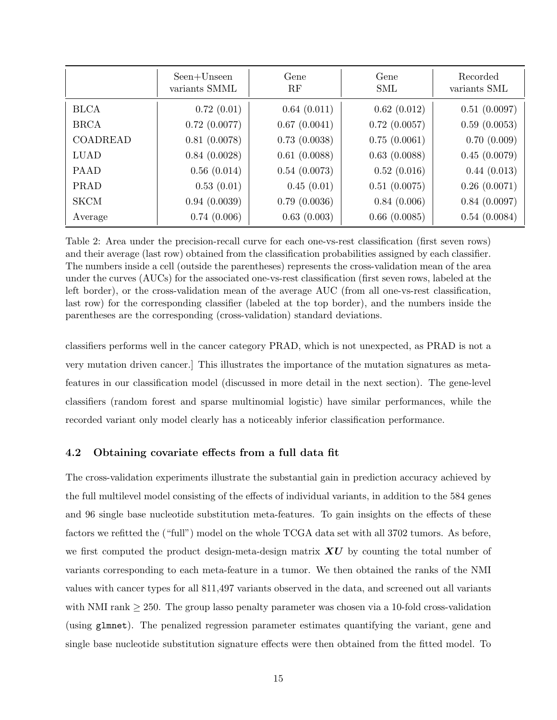|                 | Seen+Unseen<br>variants SMML | Gene<br>RF   | Gene<br><b>SML</b> | Recorded<br>variants SML |
|-----------------|------------------------------|--------------|--------------------|--------------------------|
| <b>BLCA</b>     | 0.72(0.01)                   | 0.64(0.011)  | 0.62(0.012)        | 0.51(0.0097)             |
| <b>BRCA</b>     | $0.72$ $(0.0077)$            | 0.67(0.0041) | 0.72(0.0057)       | 0.59(0.0053)             |
| <b>COADREAD</b> | 0.81(0.0078)                 | 0.73(0.0038) | 0.75(0.0061)       | 0.70(0.009)              |
| <b>LUAD</b>     | 0.84(0.0028)                 | 0.61(0.0088) | 0.63(0.0088)       | 0.45(0.0079)             |
| <b>PAAD</b>     | 0.56(0.014)                  | 0.54(0.0073) | 0.52(0.016)        | 0.44(0.013)              |
| PRAD            | 0.53(0.01)                   | 0.45(0.01)   | 0.51(0.0075)       | 0.26(0.0071)             |
| <b>SKCM</b>     | 0.94(0.0039)                 | 0.79(0.0036) | 0.84(0.006)        | 0.84(0.0097)             |
| Average         | 0.74(0.006)                  | 0.63(0.003)  | 0.66(0.0085)       | 0.54(0.0084)             |

Table 2: Area under the precision-recall curve for each one-vs-rest classification (first seven rows) and their average (last row) obtained from the classification probabilities assigned by each classifier. The numbers inside a cell (outside the parentheses) represents the cross-validation mean of the area under the curves (AUCs) for the associated one-vs-rest classification (first seven rows, labeled at the left border), or the cross-validation mean of the average AUC (from all one-vs-rest classification, last row) for the corresponding classifier (labeled at the top border), and the numbers inside the parentheses are the corresponding (cross-validation) standard deviations.

classifiers performs well in the cancer category PRAD, which is not unexpected, as PRAD is not a very mutation driven cancer.] This illustrates the importance of the mutation signatures as metafeatures in our classification model (discussed in more detail in the next section). The gene-level classifiers (random forest and sparse multinomial logistic) have similar performances, while the recorded variant only model clearly has a noticeably inferior classification performance.

## 4.2 Obtaining covariate effects from a full data fit

The cross-validation experiments illustrate the substantial gain in prediction accuracy achieved by the full multilevel model consisting of the effects of individual variants, in addition to the 584 genes and 96 single base nucleotide substitution meta-features. To gain insights on the effects of these factors we refitted the ("full") model on the whole TCGA data set with all 3702 tumors. As before, we first computed the product design-meta-design matrix  $\boldsymbol{X} \boldsymbol{U}$  by counting the total number of variants corresponding to each meta-feature in a tumor. We then obtained the ranks of the NMI values with cancer types for all 811,497 variants observed in the data, and screened out all variants with NMI rank  $\geq$  250. The group lasso penalty parameter was chosen via a 10-fold cross-validation (using glmnet). The penalized regression parameter estimates quantifying the variant, gene and single base nucleotide substitution signature effects were then obtained from the fitted model. To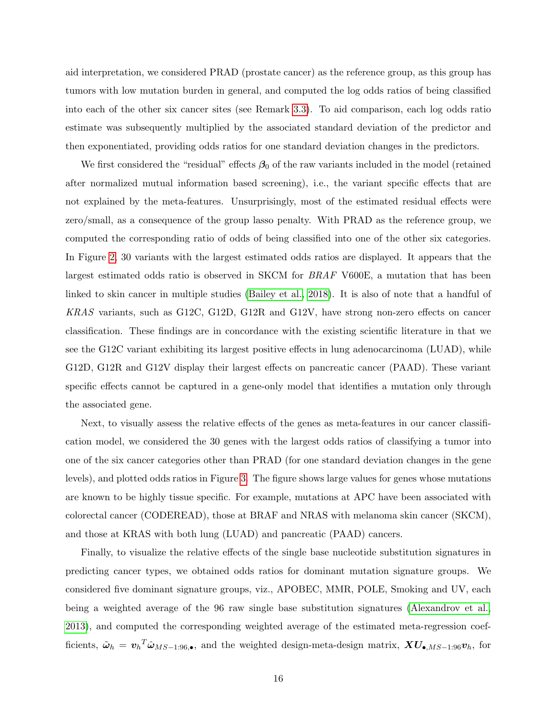aid interpretation, we considered PRAD (prostate cancer) as the reference group, as this group has tumors with low mutation burden in general, and computed the log odds ratios of being classified into each of the other six cancer sites (see Remark [3.3\)](#page-10-0). To aid comparison, each log odds ratio estimate was subsequently multiplied by the associated standard deviation of the predictor and then exponentiated, providing odds ratios for one standard deviation changes in the predictors.

We first considered the "residual" effects  $\beta_0$  of the raw variants included in the model (retained after normalized mutual information based screening), i.e., the variant specific effects that are not explained by the meta-features. Unsurprisingly, most of the estimated residual effects were zero/small, as a consequence of the group lasso penalty. With PRAD as the reference group, we computed the corresponding ratio of odds of being classified into one of the other six categories. In Figure [2,](#page-16-0) 30 variants with the largest estimated odds ratios are displayed. It appears that the largest estimated odds ratio is observed in SKCM for BRAF V600E, a mutation that has been linked to skin cancer in multiple studies [\(Bailey et al., 2018\)](#page-20-1). It is also of note that a handful of KRAS variants, such as G12C, G12D, G12R and G12V, have strong non-zero effects on cancer classification. These findings are in concordance with the existing scientific literature in that we see the G12C variant exhibiting its largest positive effects in lung adenocarcinoma (LUAD), while G12D, G12R and G12V display their largest effects on pancreatic cancer (PAAD). These variant specific effects cannot be captured in a gene-only model that identifies a mutation only through the associated gene.

Next, to visually assess the relative effects of the genes as meta-features in our cancer classification model, we considered the 30 genes with the largest odds ratios of classifying a tumor into one of the six cancer categories other than PRAD (for one standard deviation changes in the gene levels), and plotted odds ratios in Figure [3.](#page-17-0) The figure shows large values for genes whose mutations are known to be highly tissue specific. For example, mutations at APC have been associated with colorectal cancer (CODEREAD), those at BRAF and NRAS with melanoma skin cancer (SKCM), and those at KRAS with both lung (LUAD) and pancreatic (PAAD) cancers.

Finally, to visualize the relative effects of the single base nucleotide substitution signatures in predicting cancer types, we obtained odds ratios for dominant mutation signature groups. We considered five dominant signature groups, viz., APOBEC, MMR, POLE, Smoking and UV, each being a weighted average of the 96 raw single base substitution signatures [\(Alexandrov et al.,](#page-20-6) [2013\)](#page-20-6), and computed the corresponding weighted average of the estimated meta-regression coefficients,  $\tilde{\omega}_h = v_h^T \hat{\omega}_{MS-1:96,\bullet}$ , and the weighted design-meta-design matrix,  $XU_{\bullet,MS-1:96}v_h$ , for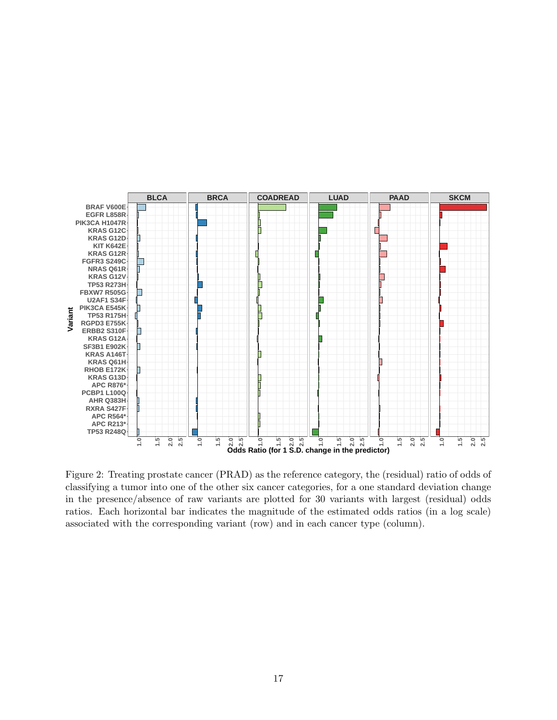

<span id="page-16-0"></span>Figure 2: Treating prostate cancer (PRAD) as the reference category, the (residual) ratio of odds of classifying a tumor into one of the other six cancer categories, for a one standard deviation change in the presence/absence of raw variants are plotted for 30 variants with largest (residual) odds ratios. Each horizontal bar indicates the magnitude of the estimated odds ratios (in a log scale) associated with the corresponding variant (row) and in each cancer type (column).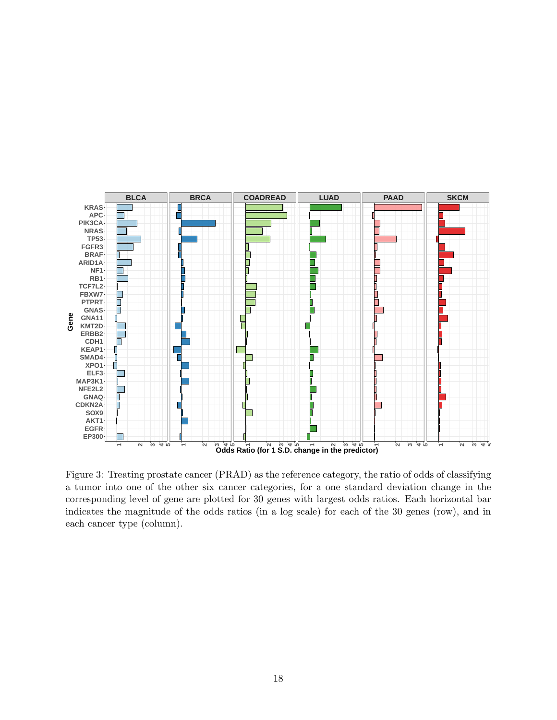

<span id="page-17-0"></span>Figure 3: Treating prostate cancer (PRAD) as the reference category, the ratio of odds of classifying a tumor into one of the other six cancer categories, for a one standard deviation change in the corresponding level of gene are plotted for 30 genes with largest odds ratios. Each horizontal bar indicates the magnitude of the odds ratios (in a log scale) for each of the 30 genes (row), and in each cancer type (column).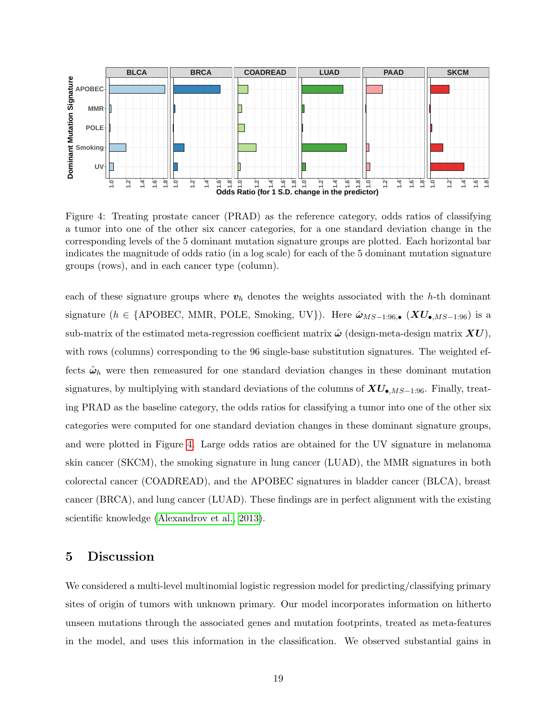

<span id="page-18-1"></span>Figure 4: Treating prostate cancer (PRAD) as the reference category, odds ratios of classifying a tumor into one of the other six cancer categories, for a one standard deviation change in the corresponding levels of the 5 dominant mutation signature groups are plotted. Each horizontal bar indicates the magnitude of odds ratio (in a log scale) for each of the 5 dominant mutation signature groups (rows), and in each cancer type (column).

each of these signature groups where  $v_h$  denotes the weights associated with the h-th dominant signature (h ∈ {APOBEC, MMR, POLE, Smoking, UV}). Here  $\hat{\omega}_{MS-1:96,\bullet}$  ( $XU_{\bullet, MS-1:96}$ ) is a sub-matrix of the estimated meta-regression coefficient matrix  $\hat{\omega}$  (design-meta-design matrix  $\boldsymbol{X}\boldsymbol{U}$ ), with rows (columns) corresponding to the 96 single-base substitution signatures. The weighted effects  $\tilde{\omega}_h$  were then remeasured for one standard deviation changes in these dominant mutation signatures, by multiplying with standard deviations of the columns of  $XU_{\bullet, MS-1:96}$ . Finally, treating PRAD as the baseline category, the odds ratios for classifying a tumor into one of the other six categories were computed for one standard deviation changes in these dominant signature groups, and were plotted in Figure [4.](#page-18-1) Large odds ratios are obtained for the UV signature in melanoma skin cancer (SKCM), the smoking signature in lung cancer (LUAD), the MMR signatures in both colorectal cancer (COADREAD), and the APOBEC signatures in bladder cancer (BLCA), breast cancer (BRCA), and lung cancer (LUAD). These findings are in perfect alignment with the existing scientific knowledge [\(Alexandrov et al., 2013\)](#page-20-6).

# <span id="page-18-0"></span>5 Discussion

We considered a multi-level multinomial logistic regression model for predicting/classifying primary sites of origin of tumors with unknown primary. Our model incorporates information on hitherto unseen mutations through the associated genes and mutation footprints, treated as meta-features in the model, and uses this information in the classification. We observed substantial gains in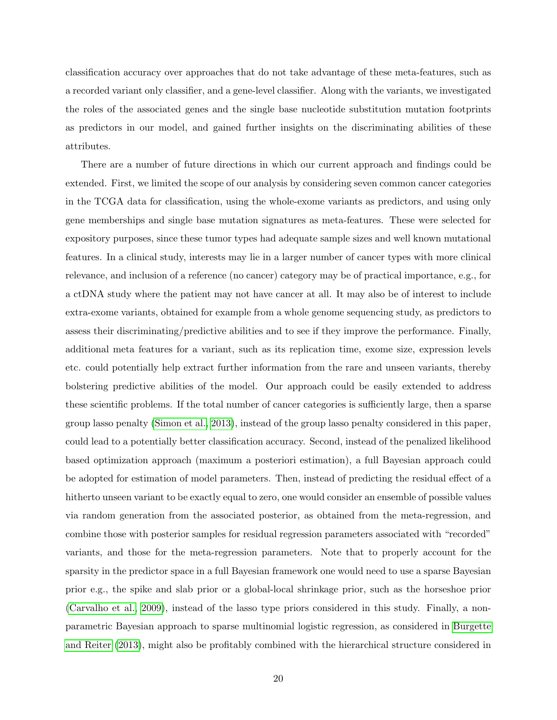classification accuracy over approaches that do not take advantage of these meta-features, such as a recorded variant only classifier, and a gene-level classifier. Along with the variants, we investigated the roles of the associated genes and the single base nucleotide substitution mutation footprints as predictors in our model, and gained further insights on the discriminating abilities of these attributes.

There are a number of future directions in which our current approach and findings could be extended. First, we limited the scope of our analysis by considering seven common cancer categories in the TCGA data for classification, using the whole-exome variants as predictors, and using only gene memberships and single base mutation signatures as meta-features. These were selected for expository purposes, since these tumor types had adequate sample sizes and well known mutational features. In a clinical study, interests may lie in a larger number of cancer types with more clinical relevance, and inclusion of a reference (no cancer) category may be of practical importance, e.g., for a ctDNA study where the patient may not have cancer at all. It may also be of interest to include extra-exome variants, obtained for example from a whole genome sequencing study, as predictors to assess their discriminating/predictive abilities and to see if they improve the performance. Finally, additional meta features for a variant, such as its replication time, exome size, expression levels etc. could potentially help extract further information from the rare and unseen variants, thereby bolstering predictive abilities of the model. Our approach could be easily extended to address these scientific problems. If the total number of cancer categories is sufficiently large, then a sparse group lasso penalty [\(Simon et al., 2013\)](#page-22-12), instead of the group lasso penalty considered in this paper, could lead to a potentially better classification accuracy. Second, instead of the penalized likelihood based optimization approach (maximum a posteriori estimation), a full Bayesian approach could be adopted for estimation of model parameters. Then, instead of predicting the residual effect of a hitherto unseen variant to be exactly equal to zero, one would consider an ensemble of possible values via random generation from the associated posterior, as obtained from the meta-regression, and combine those with posterior samples for residual regression parameters associated with "recorded" variants, and those for the meta-regression parameters. Note that to properly account for the sparsity in the predictor space in a full Bayesian framework one would need to use a sparse Bayesian prior e.g., the spike and slab prior or a global-local shrinkage prior, such as the horseshoe prior [\(Carvalho et al., 2009\)](#page-20-8), instead of the lasso type priors considered in this study. Finally, a nonparametric Bayesian approach to sparse multinomial logistic regression, as considered in [Burgette](#page-20-9) [and Reiter](#page-20-9) [\(2013\)](#page-20-9), might also be profitably combined with the hierarchical structure considered in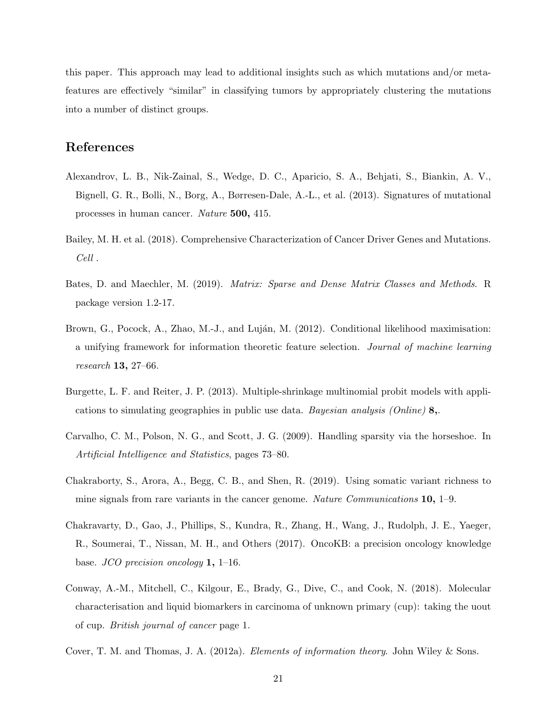this paper. This approach may lead to additional insights such as which mutations and/or metafeatures are effectively "similar" in classifying tumors by appropriately clustering the mutations into a number of distinct groups.

# References

- <span id="page-20-6"></span>Alexandrov, L. B., Nik-Zainal, S., Wedge, D. C., Aparicio, S. A., Behjati, S., Biankin, A. V., Bignell, G. R., Bolli, N., Borg, A., Børresen-Dale, A.-L., et al. (2013). Signatures of mutational processes in human cancer. Nature 500, 415.
- <span id="page-20-1"></span>Bailey, M. H. et al. (2018). Comprehensive Characterization of Cancer Driver Genes and Mutations. Cell .
- <span id="page-20-7"></span>Bates, D. and Maechler, M. (2019). Matrix: Sparse and Dense Matrix Classes and Methods. R package version 1.2-17.
- <span id="page-20-5"></span>Brown, G., Pocock, A., Zhao, M.-J., and Luján, M. (2012). Conditional likelihood maximisation: a unifying framework for information theoretic feature selection. Journal of machine learning research 13, 27–66.
- <span id="page-20-9"></span>Burgette, L. F. and Reiter, J. P. (2013). Multiple-shrinkage multinomial probit models with applications to simulating geographies in public use data. Bayesian analysis (Online)  $\mathbf{8}$ .
- <span id="page-20-8"></span>Carvalho, C. M., Polson, N. G., and Scott, J. G. (2009). Handling sparsity via the horseshoe. In Artificial Intelligence and Statistics, pages 73–80.
- <span id="page-20-3"></span>Chakraborty, S., Arora, A., Begg, C. B., and Shen, R. (2019). Using somatic variant richness to mine signals from rare variants in the cancer genome. Nature Communications 10, 1–9.
- <span id="page-20-4"></span>Chakravarty, D., Gao, J., Phillips, S., Kundra, R., Zhang, H., Wang, J., Rudolph, J. E., Yaeger, R., Soumerai, T., Nissan, M. H., and Others (2017). OncoKB: a precision oncology knowledge base. JCO precision oncology 1, 1–16.
- <span id="page-20-0"></span>Conway, A.-M., Mitchell, C., Kilgour, E., Brady, G., Dive, C., and Cook, N. (2018). Molecular characterisation and liquid biomarkers in carcinoma of unknown primary (cup): taking the uout of cup. British journal of cancer page 1.
- <span id="page-20-2"></span>Cover, T. M. and Thomas, J. A. (2012a). Elements of information theory. John Wiley & Sons.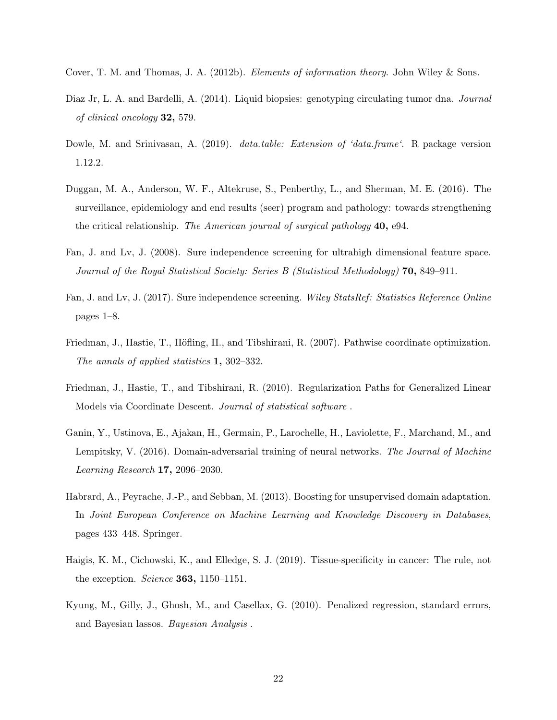- <span id="page-21-10"></span>Cover, T. M. and Thomas, J. A. (2012b). Elements of information theory. John Wiley & Sons.
- <span id="page-21-0"></span>Diaz Jr, L. A. and Bardelli, A. (2014). Liquid biopsies: genotyping circulating tumor dna. Journal of clinical oncology 32, 579.
- <span id="page-21-11"></span>Dowle, M. and Srinivasan, A. (2019). *data.table: Extension of 'data.frame'*. R package version 1.12.2.
- <span id="page-21-4"></span>Duggan, M. A., Anderson, W. F., Altekruse, S., Penberthy, L., and Sherman, M. E. (2016). The surveillance, epidemiology and end results (seer) program and pathology: towards strengthening the critical relationship. The American journal of surgical pathology 40, e94.
- <span id="page-21-5"></span>Fan, J. and Lv, J. (2008). Sure independence screening for ultrahigh dimensional feature space. Journal of the Royal Statistical Society: Series B (Statistical Methodology) 70, 849–911.
- <span id="page-21-6"></span>Fan, J. and Lv, J. (2017). Sure independence screening. Wiley StatsRef: Statistics Reference Online pages 1–8.
- <span id="page-21-9"></span>Friedman, J., Hastie, T., Höfling, H., and Tibshirani, R. (2007). Pathwise coordinate optimization. The annals of applied statistics 1, 302–332.
- <span id="page-21-8"></span>Friedman, J., Hastie, T., and Tibshirani, R. (2010). Regularization Paths for Generalized Linear Models via Coordinate Descent. Journal of statistical software .
- <span id="page-21-3"></span>Ganin, Y., Ustinova, E., Ajakan, H., Germain, P., Larochelle, H., Laviolette, F., Marchand, M., and Lempitsky, V. (2016). Domain-adversarial training of neural networks. The Journal of Machine Learning Research 17, 2096–2030.
- <span id="page-21-2"></span>Habrard, A., Peyrache, J.-P., and Sebban, M. (2013). Boosting for unsupervised domain adaptation. In Joint European Conference on Machine Learning and Knowledge Discovery in Databases, pages 433–448. Springer.
- <span id="page-21-1"></span>Haigis, K. M., Cichowski, K., and Elledge, S. J. (2019). Tissue-specificity in cancer: The rule, not the exception. Science 363, 1150–1151.
- <span id="page-21-7"></span>Kyung, M., Gilly, J., Ghosh, M., and Casellax, G. (2010). Penalized regression, standard errors, and Bayesian lassos. Bayesian Analysis .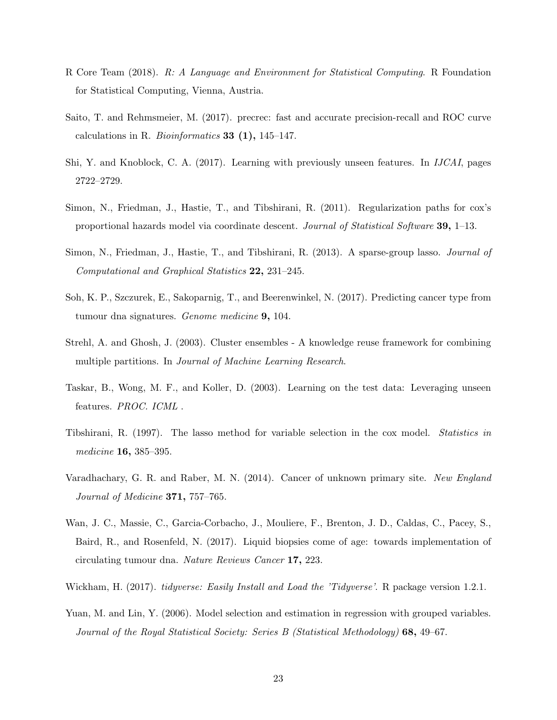- <span id="page-22-9"></span>R Core Team (2018). R: A Language and Environment for Statistical Computing. R Foundation for Statistical Computing, Vienna, Austria.
- <span id="page-22-11"></span>Saito, T. and Rehmsmeier, M. (2017). precrec: fast and accurate precision-recall and ROC curve calculations in R. Bioinformatics 33  $(1)$ , 145–147.
- <span id="page-22-4"></span>Shi, Y. and Knoblock, C. A. (2017). Learning with previously unseen features. In IJCAI, pages 2722–2729.
- <span id="page-22-7"></span>Simon, N., Friedman, J., Hastie, T., and Tibshirani, R. (2011). Regularization paths for cox's proportional hazards model via coordinate descent. Journal of Statistical Software 39, 1–13.
- <span id="page-22-12"></span>Simon, N., Friedman, J., Hastie, T., and Tibshirani, R. (2013). A sparse-group lasso. *Journal of* Computational and Graphical Statistics 22, 231–245.
- <span id="page-22-2"></span>Soh, K. P., Szczurek, E., Sakoparnig, T., and Beerenwinkel, N. (2017). Predicting cancer type from tumour dna signatures. Genome medicine 9, 104.
- <span id="page-22-8"></span>Strehl, A. and Ghosh, J. (2003). Cluster ensembles - A knowledge reuse framework for combining multiple partitions. In Journal of Machine Learning Research.
- <span id="page-22-3"></span>Taskar, B., Wong, M. F., and Koller, D. (2003). Learning on the test data: Leveraging unseen features. PROC. ICML .
- <span id="page-22-6"></span>Tibshirani, R. (1997). The lasso method for variable selection in the cox model. Statistics in medicine 16, 385–395.
- <span id="page-22-0"></span>Varadhachary, G. R. and Raber, M. N. (2014). Cancer of unknown primary site. New England Journal of Medicine 371, 757–765.
- <span id="page-22-1"></span>Wan, J. C., Massie, C., Garcia-Corbacho, J., Mouliere, F., Brenton, J. D., Caldas, C., Pacey, S., Baird, R., and Rosenfeld, N. (2017). Liquid biopsies come of age: towards implementation of circulating tumour dna. Nature Reviews Cancer 17, 223.
- <span id="page-22-10"></span>Wickham, H. (2017). *tidyverse: Easily Install and Load the 'Tidyverse'*. R package version 1.2.1.
- <span id="page-22-5"></span>Yuan, M. and Lin, Y. (2006). Model selection and estimation in regression with grouped variables. Journal of the Royal Statistical Society: Series B (Statistical Methodology) 68, 49–67.